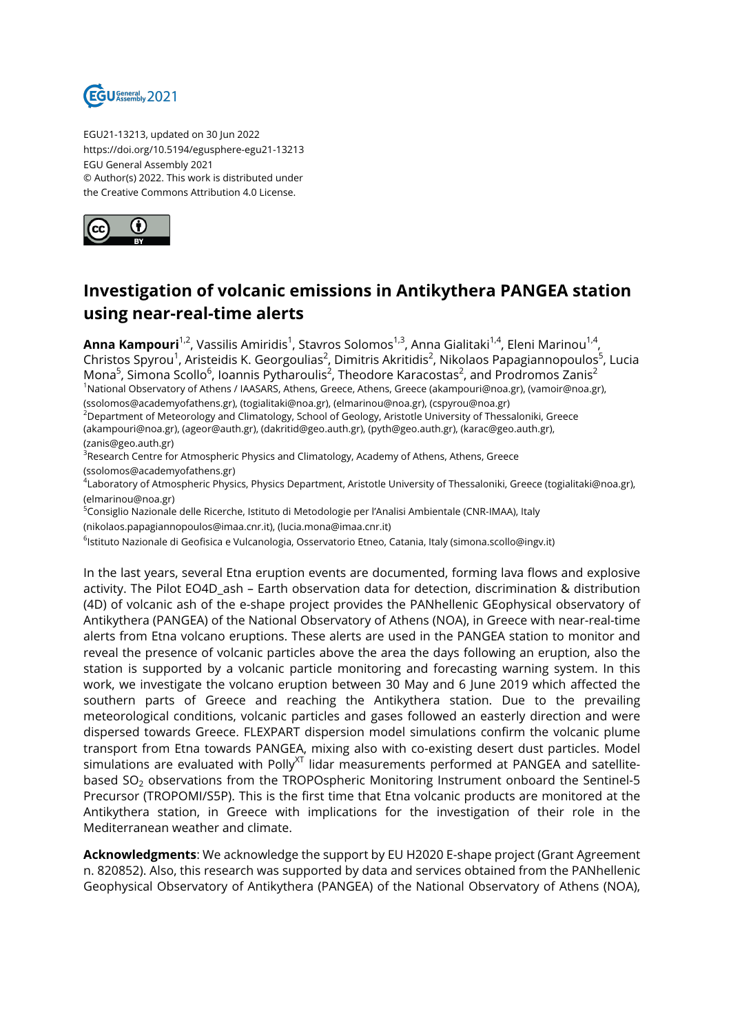

EGU21-13213, updated on 30 Jun 2022 https://doi.org/10.5194/egusphere-egu21-13213 EGU General Assembly 2021 © Author(s) 2022. This work is distributed under the Creative Commons Attribution 4.0 License.



## **Investigation of volcanic emissions in Antikythera PANGEA station using near-real-time alerts**

**Anna Kampouri**<sup>1,2</sup>, Vassilis Amiridis<sup>1</sup>, Stavros Solomos<sup>1,3</sup>, Anna Gialitaki<sup>1,4</sup>, Eleni Marinou<sup>1,4</sup>, Christos Spyrou<sup>1</sup>, Aristeidis K. Georgoulias<sup>2</sup>, Dimitris Akritidis<sup>2</sup>, Nikolaos Papagiannopoulos<sup>5</sup>, Lucia Mona<sup>5</sup>, Simona Scollo<sup>6</sup>, Ioannis Pytharoulis<sup>2</sup>, Theodore Karacostas<sup>2</sup>, and Prodromos Zanis<sup>2</sup> <sup>1</sup>National Observatory of Athens / IAASARS, Athens, Greece, Athens, Greece (akampouri@noa.gr), (vamoir@noa.gr), (ssolomos@academyofathens.gr), (togialitaki@noa.gr), (elmarinou@noa.gr), (cspyrou@noa.gr)

<sup>2</sup>Department of Meteorology and Climatology, School of Geology, Aristotle University of Thessaloniki, Greece (akampouri@noa.gr), (ageor@auth.gr), (dakritid@geo.auth.gr), (pyth@geo.auth.gr), (karac@geo.auth.gr), (zanis@geo.auth.gr)

 $^3$ Research Centre for Atmospheric Physics and Climatology, Academy of Athens, Athens, Greece (ssolomos@academyofathens.gr)

4 Laboratory of Atmospheric Physics, Physics Department, Aristotle University of Thessaloniki, Greece (togialitaki@noa.gr), (elmarinou@noa.gr)

<sup>5</sup>Consiglio Nazionale delle Ricerche, Istituto di Metodologie per l'Analisi Ambientale (CNR-IMAA), Italy

(nikolaos.papagiannopoulos@imaa.cnr.it), (lucia.mona@imaa.cnr.it)

<sup>6</sup>lstituto Nazionale di Geofisica e Vulcanologia, Osservatorio Etneo, Catania, Italy (simona.scollo@ingv.it)

In the last years, several Etna eruption events are documented, forming lava flows and explosive activity. The Pilot EO4D ash – Earth observation data for detection, discrimination & distribution (4D) of volcanic ash of the e-shape project provides the PANhellenic GEophysical observatory of Antikythera (PANGEA) of the National Observatory of Athens (NOA), in Greece with near-real-time alerts from Etna volcano eruptions. These alerts are used in the PANGEA station to monitor and reveal the presence of volcanic particles above the area the days following an eruption, also the station is supported by a volcanic particle monitoring and forecasting warning system. In this work, we investigate the volcano eruption between 30 May and 6 June 2019 which affected the southern parts of Greece and reaching the Antikythera station. Due to the prevailing meteorological conditions, volcanic particles and gases followed an easterly direction and were dispersed towards Greece. FLEXPART dispersion model simulations confirm the volcanic plume transport from Etna towards PANGEA, mixing also with co-existing desert dust particles. Model simulations are evaluated with Polly $X<sup>T</sup>$  lidar measurements performed at PANGEA and satellitebased  $SO<sub>2</sub>$  observations from the TROPOspheric Monitoring Instrument onboard the Sentinel-5 Precursor (TROPOMI/S5P). This is the first time that Etna volcanic products are monitored at the Antikythera station, in Greece with implications for the investigation of their role in the Mediterranean weather and climate.

**Acknowledgments**: We acknowledge the support by EU H2020 E-shape project (Grant Agreement n. 820852). Also, this research was supported by data and services obtained from the PANhellenic Geophysical Observatory of Antikythera (PANGEA) of the National Observatory of Athens (NOA),